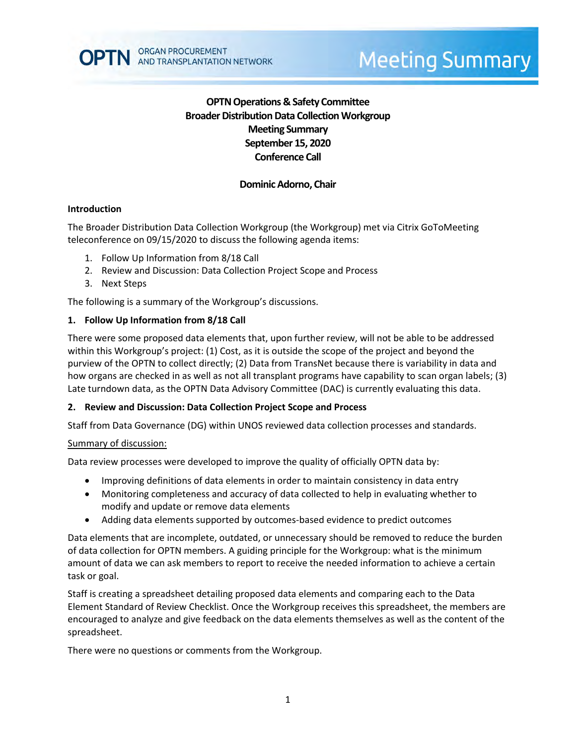

# **Dominic Adorno, Chair**

## **Introduction**

The Broader Distribution Data Collection Workgroup (the Workgroup) met via Citrix GoToMeeting teleconference on 09/15/2020 to discuss the following agenda items:

1. Follow Up Information from 8/18 Call

**ORGAN PROCUREMENT** 

AND TRANSPLANTATION NETWORK

- 2. Review and Discussion: Data Collection Project Scope and Process
- 3. Next Steps

The following is a summary of the Workgroup's discussions.

## **1. Follow Up Information from 8/18 Call**

There were some proposed data elements that, upon further review, will not be able to be addressed within this Workgroup's project: (1) Cost, as it is outside the scope of the project and beyond the purview of the OPTN to collect directly; (2) Data from TransNet because there is variability in data and how organs are checked in as well as not all transplant programs have capability to scan organ labels; (3) Late turndown data, as the OPTN Data Advisory Committee (DAC) is currently evaluating this data.

#### **2. Review and Discussion: Data Collection Project Scope and Process**

Staff from Data Governance (DG) within UNOS reviewed data collection processes and standards.

#### Summary of discussion:

Data review processes were developed to improve the quality of officially OPTN data by:

- Improving definitions of data elements in order to maintain consistency in data entry
- Monitoring completeness and accuracy of data collected to help in evaluating whether to modify and update or remove data elements
- Adding data elements supported by outcomes-based evidence to predict outcomes

Data elements that are incomplete, outdated, or unnecessary should be removed to reduce the burden of data collection for OPTN members. A guiding principle for the Workgroup: what is the minimum amount of data we can ask members to report to receive the needed information to achieve a certain task or goal.

Staff is creating a spreadsheet detailing proposed data elements and comparing each to the Data Element Standard of Review Checklist. Once the Workgroup receives this spreadsheet, the members are encouraged to analyze and give feedback on the data elements themselves as well as the content of the spreadsheet.

There were no questions or comments from the Workgroup.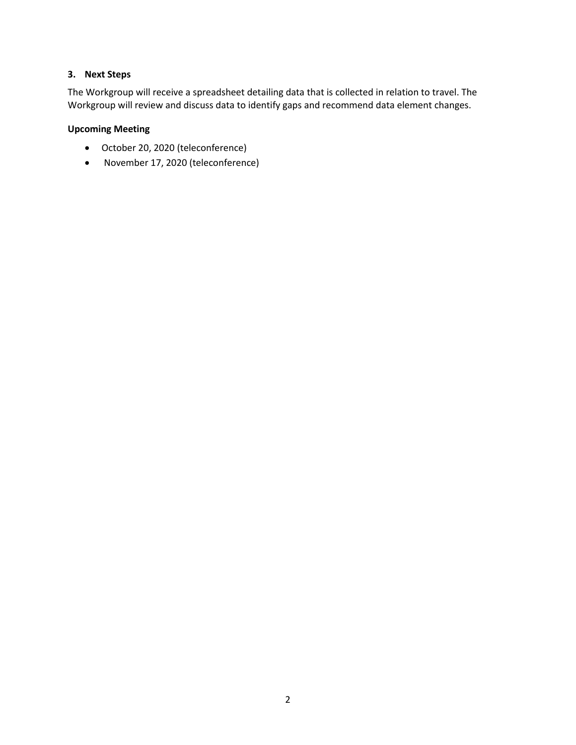## **3. Next Steps**

The Workgroup will receive a spreadsheet detailing data that is collected in relation to travel. The Workgroup will review and discuss data to identify gaps and recommend data element changes.

# **Upcoming Meeting**

- October 20, 2020 (teleconference)
- November 17, 2020 (teleconference)